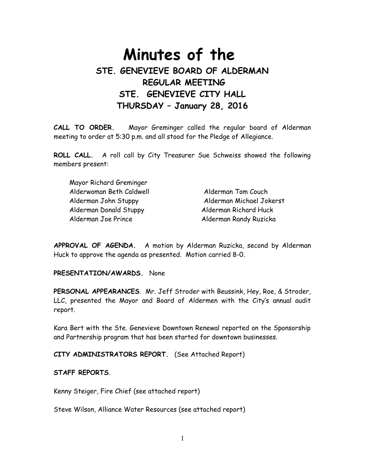# **Minutes of the STE. GENEVIEVE BOARD OF ALDERMAN REGULAR MEETING STE. GENEVIEVE CITY HALL THURSDAY – January 28, 2016**

**CALL TO ORDER.** Mayor Greminger called the regular board of Alderman meeting to order at 5:30 p.m. and all stood for the Pledge of Allegiance.

**ROLL CALL.** A roll call by City Treasurer Sue Schweiss showed the following members present:

| Mayor Richard Greminger  |                          |
|--------------------------|--------------------------|
| Alderwoman Beth Caldwell | Alderman Tom Couch       |
| Alderman John Stuppy     | Alderman Michael Jokerst |
| Alderman Donald Stuppy   | Alderman Richard Huck    |
| Alderman Joe Prince      | Alderman Randy Ruzicka   |

**APPROVAL OF AGENDA.** A motion by Alderman Ruzicka, second by Alderman Huck to approve the agenda as presented. Motion carried 8-0.

**PRESENTATION/AWARDS.** None

**PERSONAL APPEARANCES**. Mr. Jeff Stroder with Beussink, Hey, Roe, & Stroder, LLC, presented the Mayor and Board of Aldermen with the City's annual audit report.

Kara Bert with the Ste. Genevieve Downtown Renewal reported on the Sponsorship and Partnership program that has been started for downtown businesses.

**CITY ADMINISTRATORS REPORT.** (See Attached Report)

## **STAFF REPORTS**.

Kenny Steiger, Fire Chief (see attached report)

Steve Wilson, Alliance Water Resources (see attached report)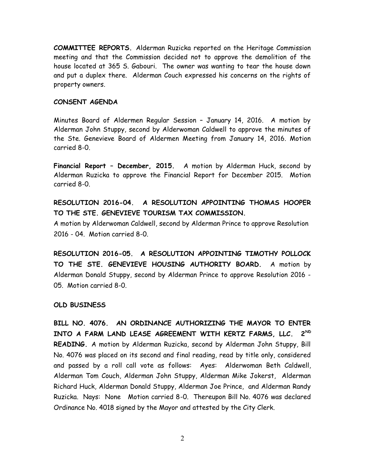**COMMITTEE REPORTS.** Alderman Ruzicka reported on the Heritage Commission meeting and that the Commission decided not to approve the demolition of the house located at 365 S. Gabouri. The owner was wanting to tear the house down and put a duplex there. Alderman Couch expressed his concerns on the rights of property owners.

#### **CONSENT AGENDA**

Minutes Board of Aldermen Regular Session – January 14, 2016. A motion by Alderman John Stuppy, second by Alderwoman Caldwell to approve the minutes of the Ste. Genevieve Board of Aldermen Meeting from January 14, 2016. Motion carried 8-0.

**Financial Report – December, 2015.** A motion by Alderman Huck, second by Alderman Ruzicka to approve the Financial Report for December 2015. Motion carried 8-0.

**RESOLUTION 2016-04. A RESOLUTION APPOINTING THOMAS HOOPER TO THE STE. GENEVIEVE TOURISM TAX COMMISSION.** 

A motion by Alderwoman Caldwell, second by Alderman Prince to approve Resolution 2016 - 04. Motion carried 8-0.

**RESOLUTION 2016-05. A RESOLUTION APPOINTING TIMOTHY POLLOCK TO THE STE. GENEVIEVE HOUSING AUTHORITY BOARD.** A motion by Alderman Donald Stuppy, second by Alderman Prince to approve Resolution 2016 - 05. Motion carried 8-0.

## **OLD BUSINESS**

**BILL NO. 4076. AN ORDINANCE AUTHORIZING THE MAYOR TO ENTER INTO A FARM LAND LEASE AGREEMENT WITH KERTZ FARMS, LLC. 2ND READING.** A motion by Alderman Ruzicka, second by Alderman John Stuppy, Bill No. 4076 was placed on its second and final reading, read by title only, considered and passed by a roll call vote as follows: Ayes: Alderwoman Beth Caldwell, Alderman Tom Couch, Alderman John Stuppy, Alderman Mike Jokerst, Alderman Richard Huck, Alderman Donald Stuppy, Alderman Joe Prince, and Alderman Randy Ruzicka. Nays: None Motion carried 8-0. Thereupon Bill No. 4076 was declared Ordinance No. 4018 signed by the Mayor and attested by the City Clerk.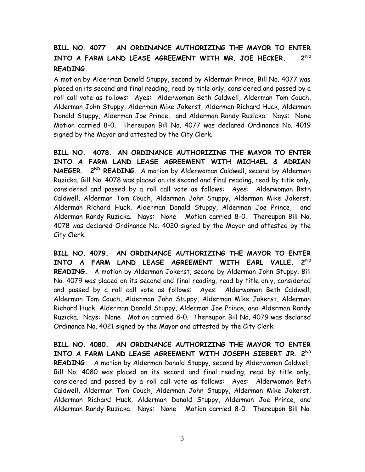# **BILL NO. 4077. AN ORDINANCE AUTHORIZING THE MAYOR TO ENTER INTO A FARM LAND LEASE AGREEMENT WITH MR. JOE HECKER. 2ND READING.**

A motion by Alderman Donald Stuppy, second by Alderman Prince, Bill No. 4077 was placed on its second and final reading, read by title only, considered and passed by a roll call vote as follows: Ayes: Alderwoman Beth Caldwell, Alderman Tom Couch, Alderman John Stuppy, Alderman Mike Jokerst, Alderman Richard Huck, Alderman Donald Stuppy, Alderman Joe Prince, and Alderman Randy Ruzicka. Nays: None Motion carried 8-0. Thereupon Bill No. 4077 was declared Ordinance No. 4019 signed by the Mayor and attested by the City Clerk.

**BILL NO. 4078. AN ORDINANCE AUTHORIZING THE MAYOR TO ENTER INTO A FARM LAND LEASE AGREEMENT WITH MICHAEL & ADRIAN NAEGER. 2ND READING.** A motion by Alderwoman Caldwell, second by Alderman Ruzicka, Bill No. 4078 was placed on its second and final reading, read by title only, considered and passed by a roll call vote as follows: Ayes: Alderwoman Beth Caldwell, Alderman Tom Couch, Alderman John Stuppy, Alderman Mike Jokerst, Alderman Richard Huck, Alderman Donald Stuppy, Alderman Joe Prince, and Alderman Randy Ruzicka. Nays: None Motion carried 8-0. Thereupon Bill No. 4078 was declared Ordinance No. 4020 signed by the Mayor and attested by the City Clerk.

**BILL NO. 4079. AN ORDINANCE AUTHORIZING THE MAYOR TO ENTER INTO A FARM LAND LEASE AGREEMENT WITH EARL VALLE. 2ND READING.** A motion by Alderman Jokerst, second by Alderman John Stuppy, Bill No. 4079 was placed on its second and final reading, read by title only, considered and passed by a roll call vote as follows: Ayes: Alderwoman Beth Caldwell, Alderman Tom Couch, Alderman John Stuppy, Alderman Mike Jokerst, Alderman Richard Huck, Alderman Donald Stuppy, Alderman Joe Prince, and Alderman Randy Ruzicka. Nays: None Motion carried 8-0. Thereupon Bill No. 4079 was declared Ordinance No. 4021 signed by the Mayor and attested by the City Clerk.

**BILL NO. 4080. AN ORDINANCE AUTHORIZING THE MAYOR TO ENTER INTO A FARM LAND LEASE AGREEMENT WITH JOSEPH SIEBERT JR. 2ND READING.** A motion by Alderman Donald Stuppy, second by Alderwoman Caldwell, Bill No. 4080 was placed on its second and final reading, read by title only, considered and passed by a roll call vote as follows: Ayes: Alderwoman Beth Caldwell, Alderman Tom Couch, Alderman John Stuppy, Alderman Mike Jokerst, Alderman Richard Huck, Alderman Donald Stuppy, Alderman Joe Prince, and Alderman Randy Ruzicka. Nays: None Motion carried 8-0. Thereupon Bill No.